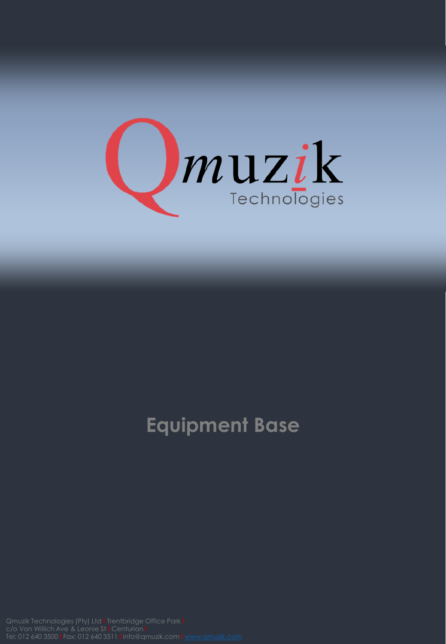

## **Equipment Base**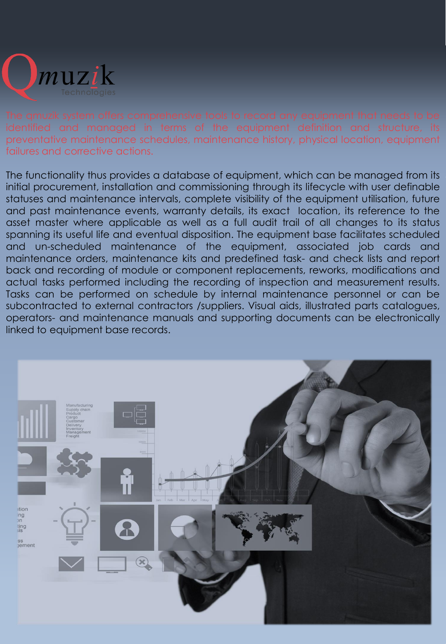

preventative maintenance schedules, maintenance history, physical location, equipment failures and corrective actions.

The functionality thus provides a database of equipment, which can be managed from its initial procurement, installation and commissioning through its lifecycle with user definable statuses and maintenance intervals, complete visibility of the equipment utilisation, future and past maintenance events, warranty details, its exact location, its reference to the asset master where applicable as well as a full audit trail of all changes to its status spanning its useful life and eventual disposition. The equipment base facilitates scheduled and un-scheduled maintenance of the equipment, associated job cards and maintenance orders, maintenance kits and predefined task- and check lists and report back and recording of module or component replacements, reworks, modifications and actual tasks performed including the recording of inspection and measurement results. Tasks can be performed on schedule by internal maintenance personnel or can be subcontracted to external contractors /suppliers. Visual aids, illustrated parts catalogues, operators- and maintenance manuals and supporting documents can be electronically linked to equipment base records.